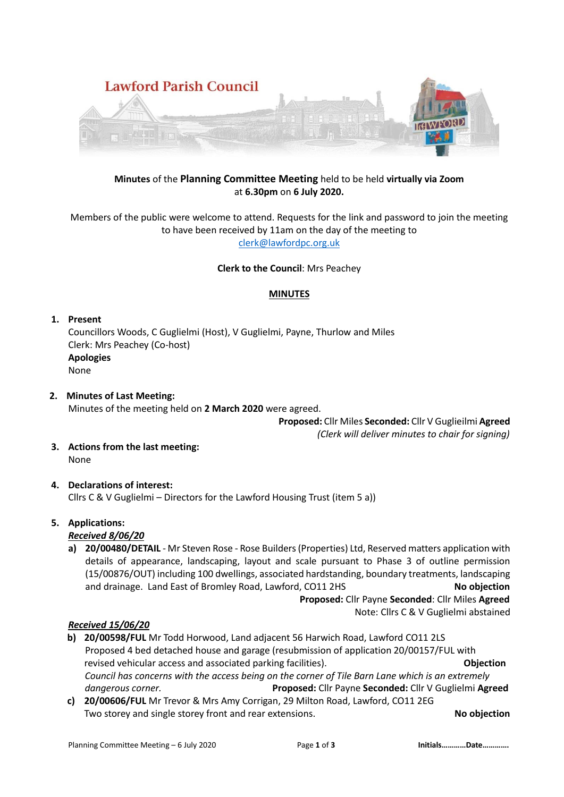

# **Minutes** of the **Planning Committee Meeting** held to be held **virtually via Zoom** at **6.30pm** on **6 July 2020.**

Members of the public were welcome to attend. Requests for the link and password to join the meeting to have been received by 11am on the day of the meeting to [clerk@lawfordpc.org.uk](mailto:clerk@lawfordpc.org.uk)

**Clerk to the Council**: Mrs Peachey

# **MINUTES**

#### **1. Present**

Councillors Woods, C Guglielmi (Host), V Guglielmi, Payne, Thurlow and Miles Clerk: Mrs Peachey (Co-host) **Apologies** None

**2. Minutes of Last Meeting:** Minutes of the meeting held on **2 March 2020** were agreed.

 **Proposed:** Cllr Miles **Seconded:** Cllr V Guglieilmi **Agreed**

 *(Clerk will deliver minutes to chair for signing)*

**3. Actions from the last meeting:** None

# **4. Declarations of interest:**

Cllrs C & V Guglielmi – Directors for the Lawford Housing Trust (item 5 a))

# **5. Applications:**

*Received 8/06/20*

**a) 20/00480/DETAIL** - Mr Steven Rose - Rose Builders (Properties) Ltd, Reserved matters application with details of appearance, landscaping, layout and scale pursuant to Phase 3 of outline permission (15/00876/OUT) including 100 dwellings, associated hardstanding, boundary treatments, landscaping and drainage. Land East of Bromley Road, Lawford, CO11 2HS **No objection**

 **Proposed:** Cllr Payne **Seconded**: Cllr Miles **Agreed**

Note: Cllrs C & V Guglielmi abstained

#### *Received 15/06/20*

- **b) 20/00598/FUL** Mr Todd Horwood, Land adjacent 56 Harwich Road, Lawford CO11 2LS Proposed 4 bed detached house and garage (resubmission of application 20/00157/FUL with revised vehicular access and associated parking facilities). **Objection** *Council has concerns with the access being on the corner of Tile Barn Lane which is an extremely dangerous corner.* **Proposed:** Cllr Payne **Seconded:** Cllr V Guglielmi **Agreed**
- **c) 20/00606/FUL** Mr Trevor & Mrs Amy Corrigan, 29 Milton Road, Lawford, CO11 2EG Two storey and single storey front and rear extensions. **No objection**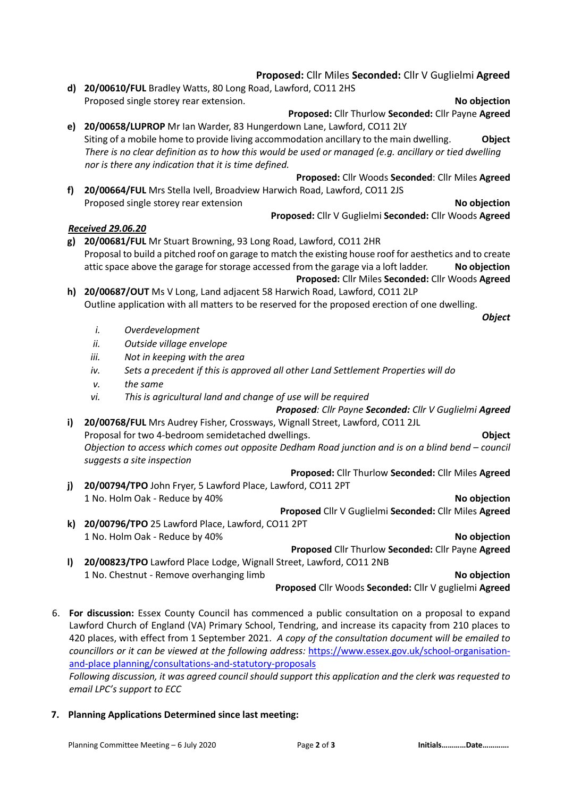**Proposed:** Cllr Miles **Seconded:** Cllr V Guglielmi **Agreed d) 20/00610/FUL** Bradley Watts, 80 Long Road, Lawford, CO11 2HS Proposed single storey rear extension. **No objection**

**Proposed:** Cllr Thurlow **Seconded:** Cllr Payne **Agreed e) 20/00658/LUPROP** Mr Ian Warder, 83 Hungerdown Lane, Lawford, CO11 2LY Siting of a mobile home to provide living accommodation ancillary to the main dwelling. **Object**  *There is no clear definition as to how this would be used or managed (e.g. ancillary or tied dwelling nor is there any indication that it is time defined.*

**f) 20/00664/FUL** Mrs Stella Ivell, Broadview Harwich Road, Lawford, CO11 2JS Proposed single storey rear extension **No objection**

**Proposed:** Cllr V Guglielmi **Seconded:** Cllr Woods **Agreed**

**Proposed:** Cllr Woods **Seconded**: Cllr Miles **Agreed**

# *Received 29.06.20*

**g) 20/00681/FUL** Mr Stuart Browning, 93 Long Road, Lawford, CO11 2HR Proposal to build a pitched roof on garage to match the existing house roof for aesthetics and to create attic space above the garage for storage accessed from the garage via a loft ladder. **No objection Proposed:** Cllr Miles **Seconded:** Cllr Woods **Agreed**

**h) 20/00687/OUT** Ms V Long, Land adjacent 58 Harwich Road, Lawford, CO11 2LP Outline application with all matters to be reserved for the proposed erection of one dwelling.

- *i. Overdevelopment*
- *ii. Outside village envelope*
- *iii. Not in keeping with the area*
- *iv. Sets a precedent if this is approved all other Land Settlement Properties will do*
- *v. the same*
- *vi. This is agricultural land and change of use will be required*

*Proposed: Cllr Payne Seconded: Cllr V Guglielmi Agreed*

**i) 20/00768/FUL** Mrs Audrey Fisher, Crossways, Wignall Street, Lawford, CO11 2JL Proposal for two 4-bedroom semidetached dwellings. **Object** *Objection to access which comes out opposite Dedham Road junction and is on a blind bend – council suggests a site inspection*

**Proposed:** Cllr Thurlow **Seconded:** Cllr Miles **Agreed**

**j) 20/00794/TPO** John Fryer, 5 Lawford Place, Lawford, CO11 2PT 1 No. Holm Oak - Reduce by 40% **No objection**

**Proposed** Cllr V Guglielmi **Seconded:** Cllr Miles **Agreed k) 20/00796/TPO** 25 Lawford Place, Lawford, CO11 2PT

1 No. Holm Oak - Reduce by 40% **No objection**

*Object*

**Proposed** Cllr Thurlow **Seconded:** Cllr Payne **Agreed**

**l) 20/00823/TPO** Lawford Place Lodge, Wignall Street, Lawford, CO11 2NB 1 No. Chestnut - Remove overhanging limb **No objection**

**Proposed** Cllr Woods **Seconded:** Cllr V guglielmi **Agreed**

6. **For discussion:** Essex County Council has commenced a public consultation on a proposal to expand Lawford Church of England (VA) Primary School, Tendring, and increase its capacity from 210 places to 420 places, with effect from 1 September 2021. *A copy of the consultation document will be emailed to councillors or it can be viewed at the following address:* [https://www.essex.gov.uk/school-organisation](https://www.essex.gov.uk/school-organisation-and-place%20planning/consultations-and-statutory-proposals)[and-place planning/consultations-and-statutory-proposals](https://www.essex.gov.uk/school-organisation-and-place%20planning/consultations-and-statutory-proposals)

*Following discussion, it was agreed council should support this application and the clerk was requested to email LPC's support to ECC*

**7. Planning Applications Determined since last meeting:**